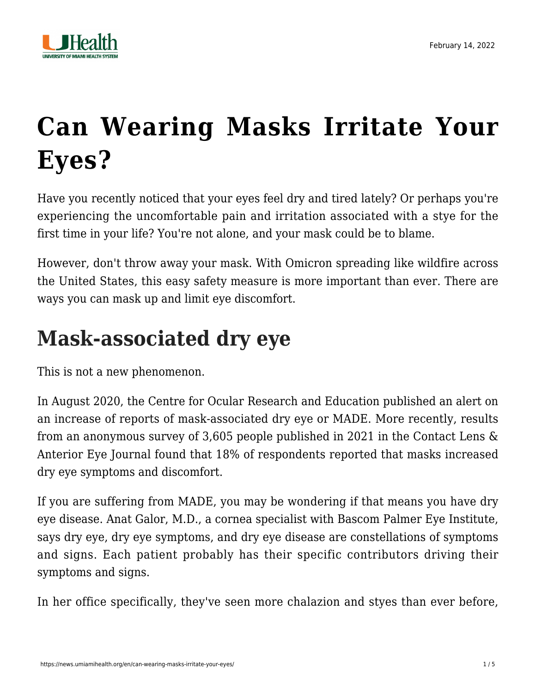

# **[Can Wearing Masks Irritate Your](https://news.umiamihealth.org/en/can-wearing-masks-irritate-your-eyes/) [Eyes?](https://news.umiamihealth.org/en/can-wearing-masks-irritate-your-eyes/)**

Have you recently noticed that your eyes feel dry and tired lately? Or perhaps you're experiencing the uncomfortable pain and irritation associated with a stye for the first time in your life? You're not alone, and your mask could be to blame.

However, don't throw away your mask. With Omicron spreading like wildfire across the United States, this easy safety measure is more important than ever. There are ways you can mask up and limit eye discomfort.

### **Mask-associated dry eye**

This is not a new phenomenon.

In August 2020, the Centre for Ocular Research and Education published an alert on an increase of reports of mask-associated dry eye or MADE. More recently, results from an anonymous survey of 3,605 people published in 2021 in the Contact Lens & Anterior Eye Journal found that 18% of respondents reported that masks increased dry eye symptoms and discomfort.

If you are suffering from MADE, you may be wondering if that means you have dry eye disease. [Anat Galor, M.D.,](https://bascompalmer-doctors.umiamihealth.org/provider/Anat+Galor/525537) a cornea specialist with Bascom Palmer Eye Institute, says dry eye, dry eye symptoms, and dry eye disease are constellations of symptoms and signs. Each patient probably has their specific contributors driving their symptoms and signs.

In her office specifically, they've seen more chalazion and styes than ever before,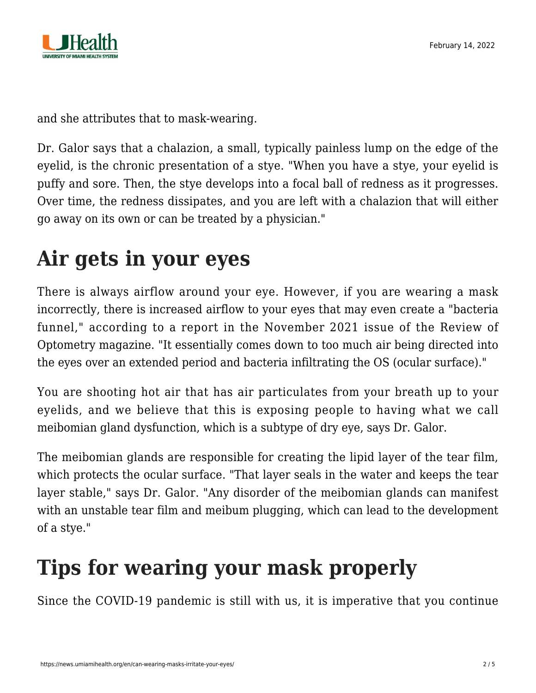

and she attributes that to mask-wearing.

Dr. Galor says that a chalazion, a small, typically painless lump on the edge of the eyelid, is the chronic presentation of a stye. "When you have a stye, your eyelid is puffy and sore. Then, the stye develops into a focal ball of redness as it progresses. Over time, the redness dissipates, and you are left with a chalazion that will either go away on its own or can be treated by a physician."

### **Air gets in your eyes**

There is always airflow around your eye. However, if you are wearing a mask incorrectly, there is increased airflow to your eyes that may even create a "bacteria funnel," according to a report in the November 2021 issue of the Review of Optometry magazine. "It essentially comes down to too much air being directed into the eyes over an extended period and bacteria infiltrating the OS (ocular surface)."

You are shooting hot air that has air particulates from your breath up to your eyelids, and we believe that this is exposing people to having what we call meibomian gland dysfunction, which is a subtype of dry eye, says Dr. Galor.

The meibomian glands are responsible for creating the lipid layer of the tear film, which protects the ocular surface. "That layer seals in the water and keeps the tear layer stable," says Dr. Galor. "Any disorder of the meibomian glands can manifest with an unstable tear film and meibum plugging, which can lead to the development of a stye."

# **Tips for wearing your mask properly**

Since the COVID-19 pandemic is still with us, it is imperative that you continue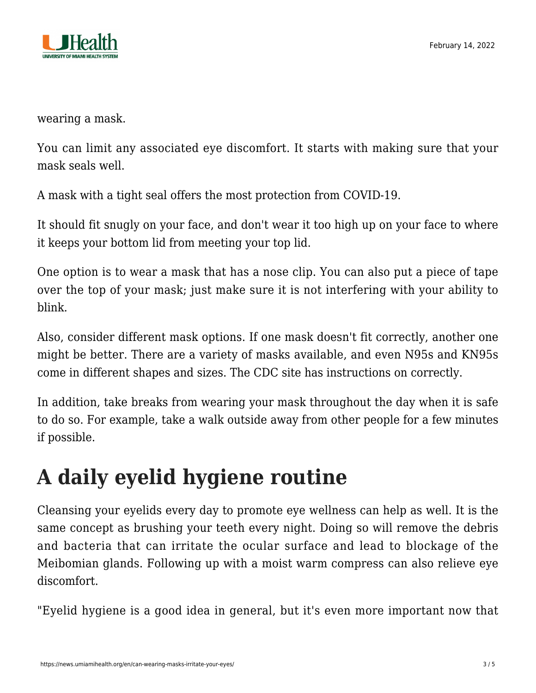

wearing a mask.

You can limit any associated eye discomfort. It starts with making sure that your mask seals well.

A mask with a tight seal offers the most protection from COVID-19.

It should fit snugly on your face, and don't wear it too high up on your face to where it keeps your bottom lid from meeting your top lid.

One option is to wear a mask that has a nose clip. You can also put a piece of tape over the top of your mask; just make sure it is not interfering with your ability to blink.

Also, consider different mask options. If one mask doesn't fit correctly, another one might be better. There are a variety of masks available, and even N95s and KN95s come in different shapes and sizes. The CDC site has instructions on correctly.

In addition, take breaks from wearing your mask throughout the day when it is safe to do so. For example, take a walk outside away from other people for a few minutes if possible.

# **A daily eyelid hygiene routine**

Cleansing your eyelids every day to promote eye wellness can help as well. It is the same concept as brushing your teeth every night. Doing so will remove the debris and bacteria that can irritate the ocular surface and lead to blockage of the Meibomian glands. Following up with a moist warm compress can also relieve eye discomfort.

"Eyelid hygiene is a good idea in general, but it's even more important now that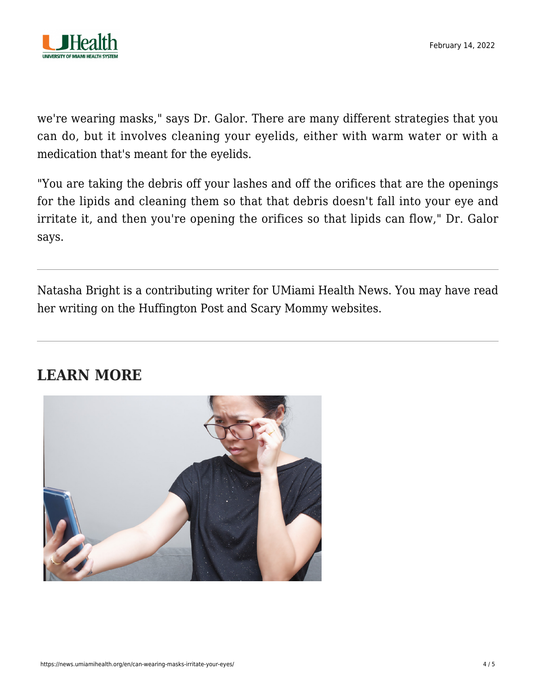

we're wearing masks," says Dr. Galor. There are many different strategies that you can do, but it involves cleaning your eyelids, either with warm water or with a medication that's meant for the eyelids.

"You are taking the debris off your lashes and off the orifices that are the openings for the lipids and cleaning them so that that debris doesn't fall into your eye and irritate it, and then you're opening the orifices so that lipids can flow," Dr. Galor says.

Natasha Bright is a contributing writer for UMiami Health News. You may have read her writing on the Huffington Post and Scary Mommy websites.

#### **LEARN MORE**